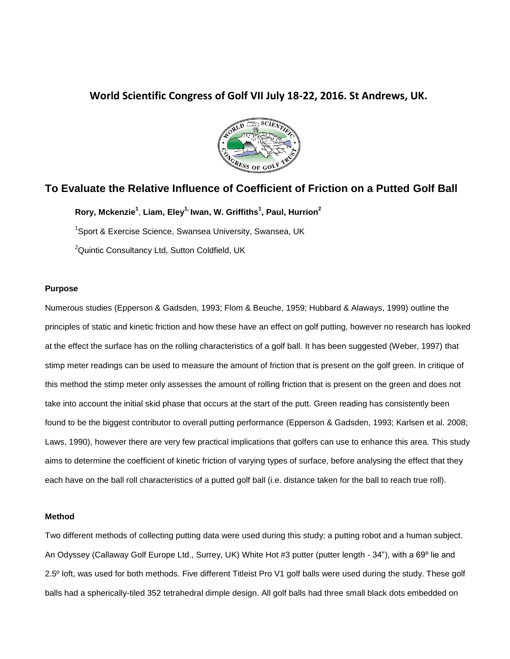## **World Scientific Congress of Golf VII July 18-22, 2016. St Andrews, UK.**



# **To Evaluate the Relative Influence of Coefficient of Friction on a Putted Golf Ball**

**Rory, Mckenzie<sup>1</sup>** , **Liam, Eley1, Iwan, W. Griffiths<sup>1</sup> , Paul, Hurrion<sup>2</sup>**

<sup>1</sup>Sport & Exercise Science, Swansea University, Swansea, UK

<sup>2</sup>Quintic Consultancy Ltd, Sutton Coldfield, UK

## **Purpose**

Numerous studies (Epperson & Gadsden, 1993; Flom & Beuche, 1959; Hubbard & Alaways, 1999) outline the principles of static and kinetic friction and how these have an effect on golf putting, however no research has looked at the effect the surface has on the rolling characteristics of a golf ball. It has been suggested (Weber, 1997) that stimp meter readings can be used to measure the amount of friction that is present on the golf green. In critique of this method the stimp meter only assesses the amount of rolling friction that is present on the green and does not take into account the initial skid phase that occurs at the start of the putt. Green reading has consistently been found to be the biggest contributor to overall putting performance (Epperson & Gadsden, 1993; Karlsen et al. 2008; Laws, 1990), however there are very few practical implications that golfers can use to enhance this area. This study aims to determine the coefficient of kinetic friction of varying types of surface, before analysing the effect that they each have on the ball roll characteristics of a putted golf ball (i.e. distance taken for the ball to reach true roll).

#### **Method**

Two different methods of collecting putting data were used during this study; a putting robot and a human subject. An Odyssey (Callaway Golf Europe Ltd., Surrey, UK) White Hot #3 putter (putter length - 34"), with a 69º lie and 2.5º loft, was used for both methods. Five different Titleist Pro V1 golf balls were used during the study. These golf balls had a spherically-tiled 352 tetrahedral dimple design. All golf balls had three small black dots embedded on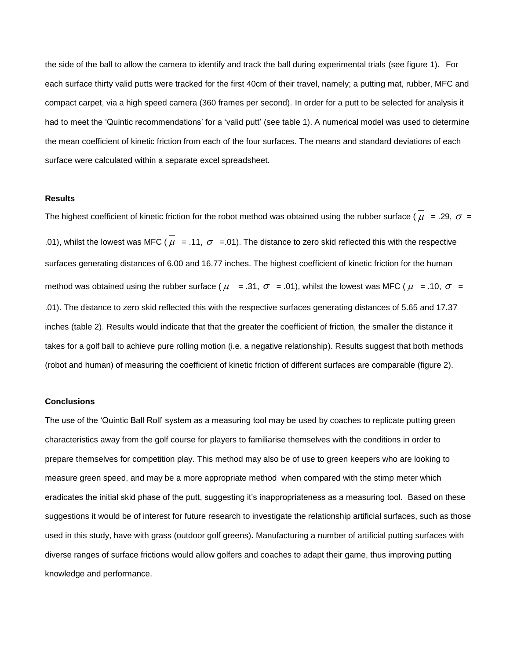the side of the ball to allow the camera to identify and track the ball during experimental trials (see figure 1). For each surface thirty valid putts were tracked for the first 40cm of their travel, namely; a putting mat, rubber, MFC and compact carpet, via a high speed camera (360 frames per second). In order for a putt to be selected for analysis it had to meet the 'Quintic recommendations' for a 'valid putt' (see table 1). A numerical model was used to determine the mean coefficient of kinetic friction from each of the four surfaces. The means and standard deviations of each surface were calculated within a separate excel spreadsheet.

#### **Results**

The highest coefficient of kinetic friction for the robot method was obtained using the rubber surface ( $\mu$  = .29,  $\sigma$  = .01), whilst the lowest was MFC ( $\mu$  = .11,  $\sigma$  = .01). The distance to zero skid reflected this with the respective surfaces generating distances of 6.00 and 16.77 inches. The highest coefficient of kinetic friction for the human method was obtained using the rubber surface ( $\mu$  = .31,  $\sigma$  = .01), whilst the lowest was MFC ( $\mu$  = .10,  $\sigma$  = .01). The distance to zero skid reflected this with the respective surfaces generating distances of 5.65 and 17.37 inches (table 2). Results would indicate that that the greater the coefficient of friction, the smaller the distance it takes for a golf ball to achieve pure rolling motion (i.e. a negative relationship). Results suggest that both methods (robot and human) of measuring the coefficient of kinetic friction of different surfaces are comparable (figure 2).

#### **Conclusions**

The use of the 'Quintic Ball Roll' system as a measuring tool may be used by coaches to replicate putting green characteristics away from the golf course for players to familiarise themselves with the conditions in order to prepare themselves for competition play. This method may also be of use to green keepers who are looking to measure green speed, and may be a more appropriate method when compared with the stimp meter which eradicates the initial skid phase of the putt, suggesting it's inappropriateness as a measuring tool. Based on these suggestions it would be of interest for future research to investigate the relationship artificial surfaces, such as those used in this study, have with grass (outdoor golf greens). Manufacturing a number of artificial putting surfaces with diverse ranges of surface frictions would allow golfers and coaches to adapt their game, thus improving putting knowledge and performance.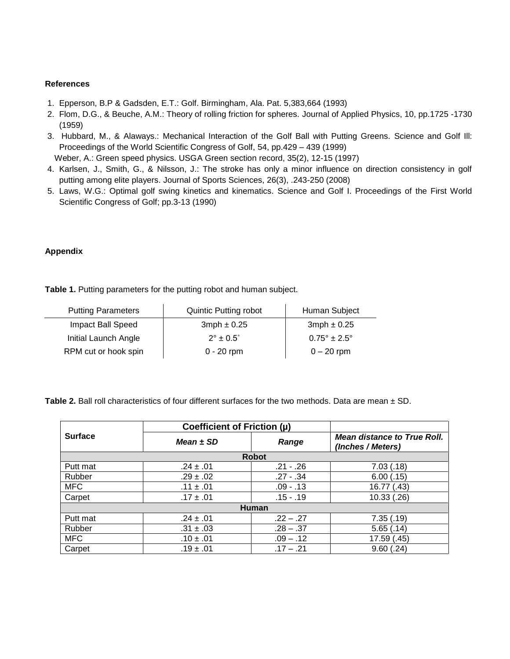### **References**

- 1. Epperson, B.P & Gadsden, E.T.: Golf. Birmingham, Ala. Pat. 5,383,664 (1993)
- 2. Flom, D.G., & Beuche, A.M.: Theory of rolling friction for spheres. Journal of Applied Physics, 10, pp.1725 -1730 (1959)
- 3. Hubbard, M., & Alaways.: Mechanical Interaction of the Golf Ball with Putting Greens. Science and Golf Ill: Proceedings of the World Scientific Congress of Golf, 54, pp.429 – 439 (1999)

Weber, A.: Green speed physics. USGA Green section record, 35(2), 12-15 (1997)

- 4. Karlsen, J., Smith, G., & Nilsson, J.: The stroke has only a minor influence on direction consistency in golf putting among elite players. Journal of Sports Sciences, 26(3), .243-250 (2008)
- 5. Laws, W.G.: Optimal golf swing kinetics and kinematics. Science and Golf I. Proceedings of the First World Scientific Congress of Golf; pp.3-13 (1990)

## **Appendix**

**Table 1.** Putting parameters for the putting robot and human subject.

| <b>Putting Parameters</b> | <b>Quintic Putting robot</b> | Human Subject                  |
|---------------------------|------------------------------|--------------------------------|
| Impact Ball Speed         | $3mph \pm 0.25$              | $3mph \pm 0.25$                |
| Initial Launch Angle      | $2^{\circ}$ + 0.5 $^{\circ}$ | $0.75^{\circ} \pm 2.5^{\circ}$ |
| RPM cut or hook spin      | $0 - 20$ rpm                 | $0 - 20$ rpm                   |

**Table 2.** Ball roll characteristics of four different surfaces for the two methods. Data are mean ± SD.

|                | Coefficient of Friction (µ) |             |                                                         |  |
|----------------|-----------------------------|-------------|---------------------------------------------------------|--|
| <b>Surface</b> | Mean $\pm$ SD               | Range       | <b>Mean distance to True Roll.</b><br>(Inches / Meters) |  |
| <b>Robot</b>   |                             |             |                                                         |  |
| Putt mat       | $.24 \pm .01$               | $.21 - .26$ | 7.03(0.18)                                              |  |
| Rubber         | $.29 \pm .02$               | $.27 - .34$ | 6.00(.15)                                               |  |
| <b>MFC</b>     | $.11 \pm .01$               | .09 - .13   | 16.77 (.43)                                             |  |
| Carpet         | $.17 \pm .01$               | $.15 - .19$ | 10.33(.26)                                              |  |
| <b>Human</b>   |                             |             |                                                         |  |
| Putt mat       | $.24 \pm .01$               | $.22 - .27$ | 7.35(.19)                                               |  |
| Rubber         | $.31 \pm .03$               | $.28 - .37$ | 5.65(.14)                                               |  |
| <b>MFC</b>     | $.10 \pm .01$               | $.09 - .12$ | 17.59(.45)                                              |  |
| Carpet         | $.19 \pm .01$               | $.17 - .21$ | 9.60(.24)                                               |  |